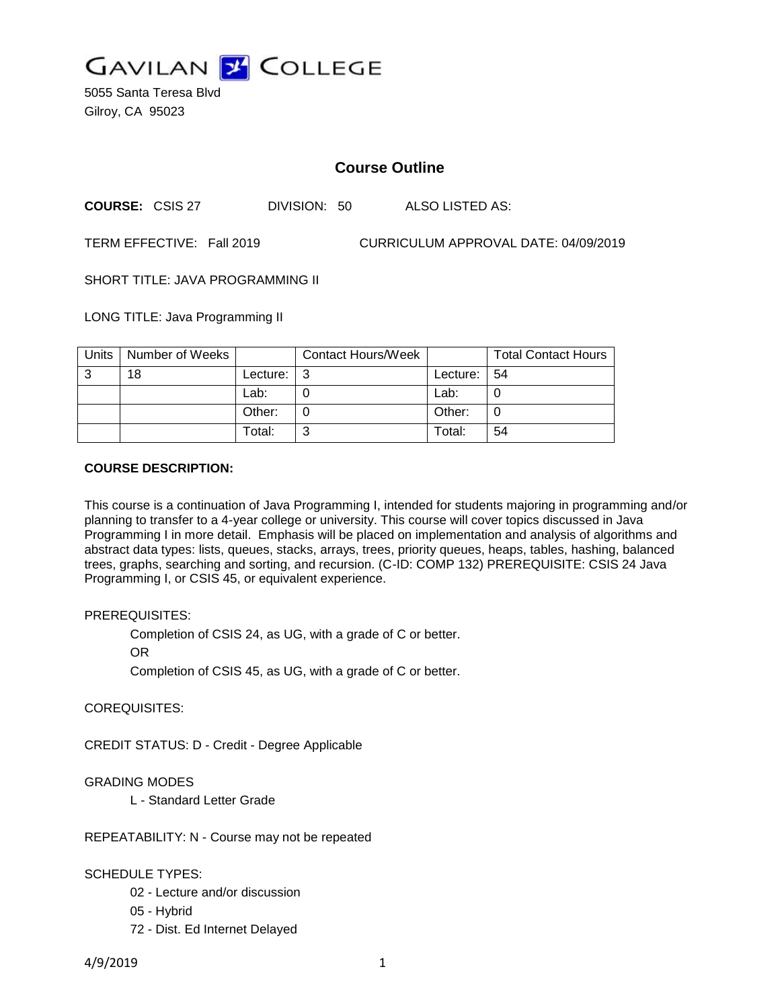

5055 Santa Teresa Blvd Gilroy, CA 95023

# **Course Outline**

**COURSE:** CSIS 27 DIVISION: 50 ALSO LISTED AS:

TERM EFFECTIVE: Fall 2019 CURRICULUM APPROVAL DATE: 04/09/2019

SHORT TITLE: JAVA PROGRAMMING II

LONG TITLE: Java Programming II

| Units | Number of Weeks |            | <b>Contact Hours/Week</b> |                | <b>Total Contact Hours</b> |
|-------|-----------------|------------|---------------------------|----------------|----------------------------|
| -3    | 18              | Lecture: I | l 3                       | Lecture: $ 54$ |                            |
|       |                 | Lab:       |                           | Lab:           |                            |
|       |                 | Other:     |                           | Other:         |                            |
|       |                 | Total:     | ⌒                         | Total:         | 54                         |

#### **COURSE DESCRIPTION:**

This course is a continuation of Java Programming I, intended for students majoring in programming and/or planning to transfer to a 4-year college or university. This course will cover topics discussed in Java Programming I in more detail. Emphasis will be placed on implementation and analysis of algorithms and abstract data types: lists, queues, stacks, arrays, trees, priority queues, heaps, tables, hashing, balanced trees, graphs, searching and sorting, and recursion. (C-ID: COMP 132) PREREQUISITE: CSIS 24 Java Programming I, or CSIS 45, or equivalent experience.

#### PREREQUISITES:

Completion of CSIS 24, as UG, with a grade of C or better.

OR

Completion of CSIS 45, as UG, with a grade of C or better.

COREQUISITES:

CREDIT STATUS: D - Credit - Degree Applicable

### GRADING MODES

L - Standard Letter Grade

REPEATABILITY: N - Course may not be repeated

### SCHEDULE TYPES:

- 02 Lecture and/or discussion
- 05 Hybrid
- 72 Dist. Ed Internet Delayed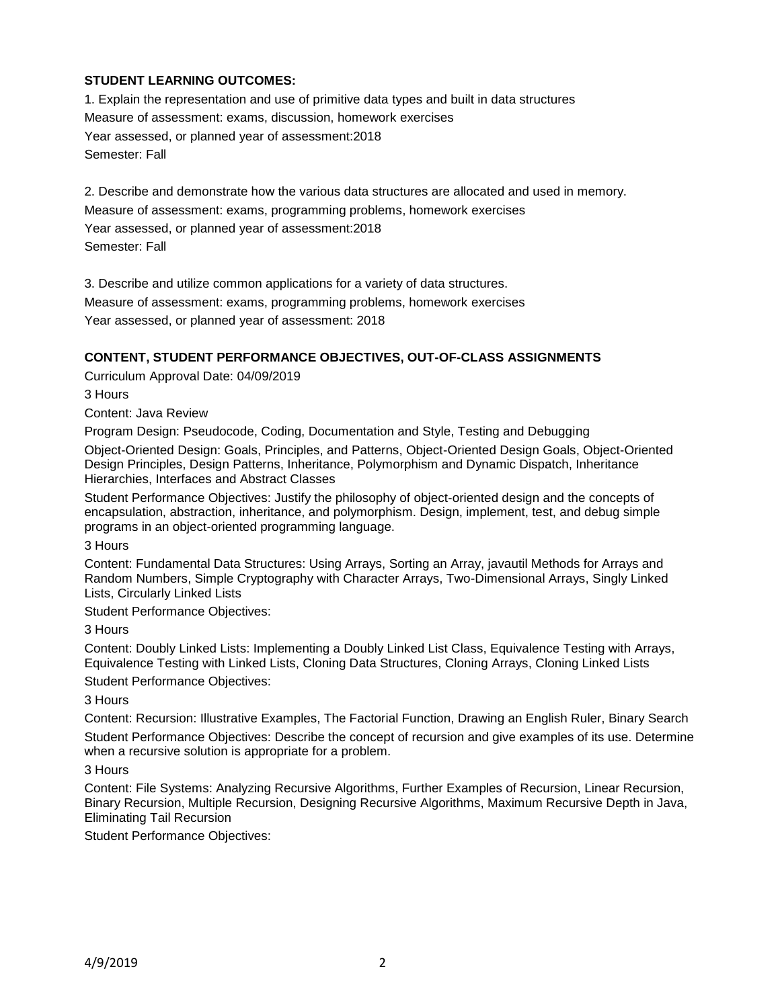# **STUDENT LEARNING OUTCOMES:**

1. Explain the representation and use of primitive data types and built in data structures Measure of assessment: exams, discussion, homework exercises Year assessed, or planned year of assessment:2018 Semester: Fall

2. Describe and demonstrate how the various data structures are allocated and used in memory. Measure of assessment: exams, programming problems, homework exercises Year assessed, or planned year of assessment:2018 Semester: Fall

3. Describe and utilize common applications for a variety of data structures.

Measure of assessment: exams, programming problems, homework exercises Year assessed, or planned year of assessment: 2018

### **CONTENT, STUDENT PERFORMANCE OBJECTIVES, OUT-OF-CLASS ASSIGNMENTS**

Curriculum Approval Date: 04/09/2019

3 Hours

Content: Java Review

Program Design: Pseudocode, Coding, Documentation and Style, Testing and Debugging

Object-Oriented Design: Goals, Principles, and Patterns, Object-Oriented Design Goals, Object-Oriented Design Principles, Design Patterns, Inheritance, Polymorphism and Dynamic Dispatch, Inheritance Hierarchies, Interfaces and Abstract Classes

Student Performance Objectives: Justify the philosophy of object-oriented design and the concepts of encapsulation, abstraction, inheritance, and polymorphism. Design, implement, test, and debug simple programs in an object-oriented programming language.

3 Hours

Content: Fundamental Data Structures: Using Arrays, Sorting an Array, javautil Methods for Arrays and Random Numbers, Simple Cryptography with Character Arrays, Two-Dimensional Arrays, Singly Linked Lists, Circularly Linked Lists

Student Performance Objectives:

3 Hours

Content: Doubly Linked Lists: Implementing a Doubly Linked List Class, Equivalence Testing with Arrays, Equivalence Testing with Linked Lists, Cloning Data Structures, Cloning Arrays, Cloning Linked Lists

Student Performance Objectives:

3 Hours

Content: Recursion: Illustrative Examples, The Factorial Function, Drawing an English Ruler, Binary Search Student Performance Objectives: Describe the concept of recursion and give examples of its use. Determine when a recursive solution is appropriate for a problem.

3 Hours

Content: File Systems: Analyzing Recursive Algorithms, Further Examples of Recursion, Linear Recursion, Binary Recursion, Multiple Recursion, Designing Recursive Algorithms, Maximum Recursive Depth in Java, Eliminating Tail Recursion

Student Performance Objectives: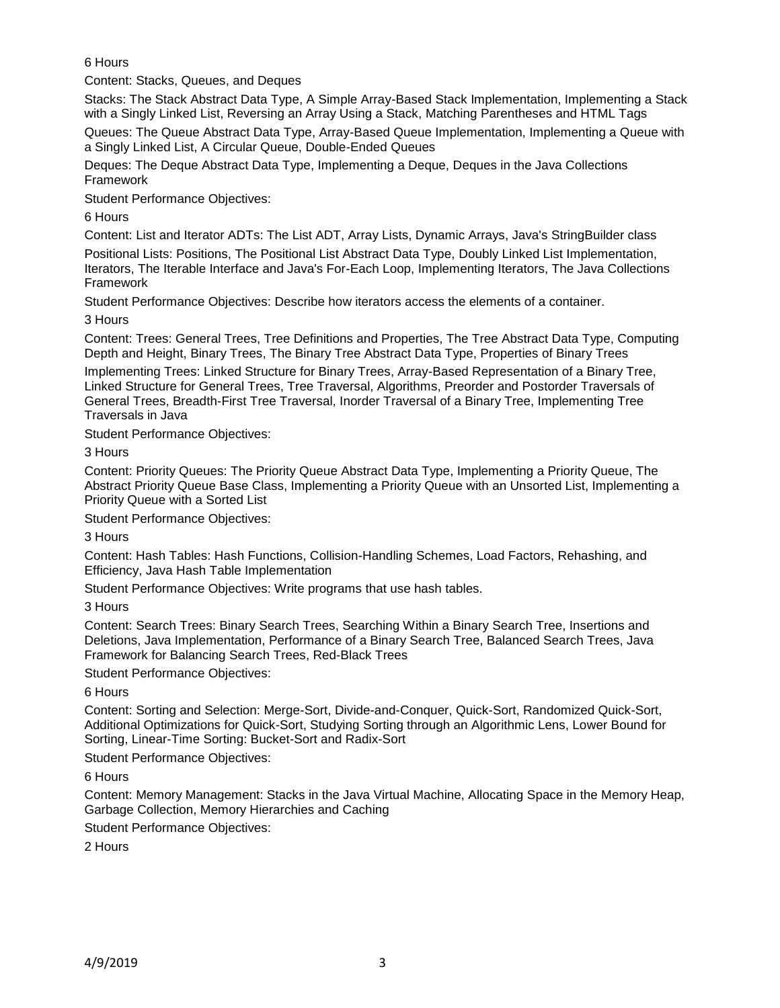6 Hours

Content: Stacks, Queues, and Deques

Stacks: The Stack Abstract Data Type, A Simple Array-Based Stack Implementation, Implementing a Stack with a Singly Linked List, Reversing an Array Using a Stack, Matching Parentheses and HTML Tags

Queues: The Queue Abstract Data Type, Array-Based Queue Implementation, Implementing a Queue with a Singly Linked List, A Circular Queue, Double-Ended Queues

Deques: The Deque Abstract Data Type, Implementing a Deque, Deques in the Java Collections Framework

Student Performance Objectives:

6 Hours

Content: List and Iterator ADTs: The List ADT, Array Lists, Dynamic Arrays, Java's StringBuilder class

Positional Lists: Positions, The Positional List Abstract Data Type, Doubly Linked List Implementation, Iterators, The Iterable Interface and Java's For-Each Loop, Implementing Iterators, The Java Collections Framework

Student Performance Objectives: Describe how iterators access the elements of a container. 3 Hours

Content: Trees: General Trees, Tree Definitions and Properties, The Tree Abstract Data Type, Computing Depth and Height, Binary Trees, The Binary Tree Abstract Data Type, Properties of Binary Trees Implementing Trees: Linked Structure for Binary Trees, Array-Based Representation of a Binary Tree, Linked Structure for General Trees, Tree Traversal, Algorithms, Preorder and Postorder Traversals of General Trees, Breadth-First Tree Traversal, Inorder Traversal of a Binary Tree, Implementing Tree Traversals in Java

Student Performance Objectives:

3 Hours

Content: Priority Queues: The Priority Queue Abstract Data Type, Implementing a Priority Queue, The Abstract Priority Queue Base Class, Implementing a Priority Queue with an Unsorted List, Implementing a Priority Queue with a Sorted List

Student Performance Objectives:

3 Hours

Content: Hash Tables: Hash Functions, Collision-Handling Schemes, Load Factors, Rehashing, and Efficiency, Java Hash Table Implementation

Student Performance Objectives: Write programs that use hash tables.

3 Hours

Content: Search Trees: Binary Search Trees, Searching Within a Binary Search Tree, Insertions and Deletions, Java Implementation, Performance of a Binary Search Tree, Balanced Search Trees, Java Framework for Balancing Search Trees, Red-Black Trees

Student Performance Objectives:

6 Hours

Content: Sorting and Selection: Merge-Sort, Divide-and-Conquer, Quick-Sort, Randomized Quick-Sort, Additional Optimizations for Quick-Sort, Studying Sorting through an Algorithmic Lens, Lower Bound for Sorting, Linear-Time Sorting: Bucket-Sort and Radix-Sort

Student Performance Objectives:

6 Hours

Content: Memory Management: Stacks in the Java Virtual Machine, Allocating Space in the Memory Heap, Garbage Collection, Memory Hierarchies and Caching

Student Performance Objectives:

2 Hours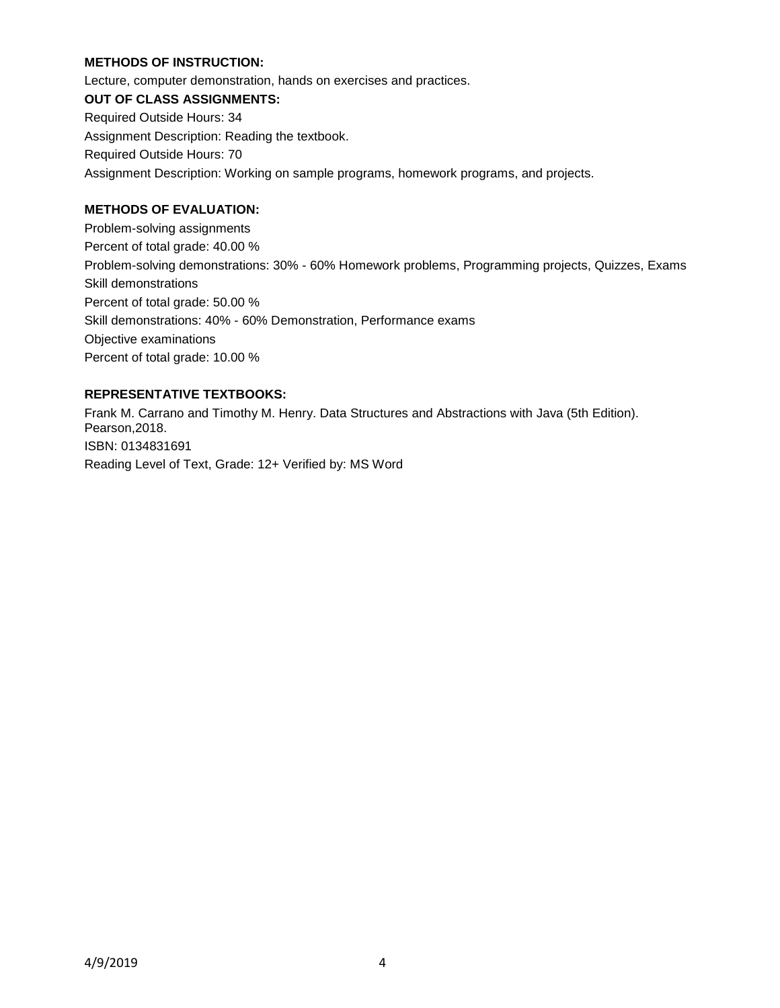### **METHODS OF INSTRUCTION:**

Lecture, computer demonstration, hands on exercises and practices. **OUT OF CLASS ASSIGNMENTS:** Required Outside Hours: 34 Assignment Description: Reading the textbook. Required Outside Hours: 70 Assignment Description: Working on sample programs, homework programs, and projects.

# **METHODS OF EVALUATION:**

Problem-solving assignments Percent of total grade: 40.00 % Problem-solving demonstrations: 30% - 60% Homework problems, Programming projects, Quizzes, Exams Skill demonstrations Percent of total grade: 50.00 % Skill demonstrations: 40% - 60% Demonstration, Performance exams Objective examinations Percent of total grade: 10.00 %

# **REPRESENTATIVE TEXTBOOKS:**

Frank M. Carrano and Timothy M. Henry. Data Structures and Abstractions with Java (5th Edition). Pearson,2018. ISBN: 0134831691 Reading Level of Text, Grade: 12+ Verified by: MS Word